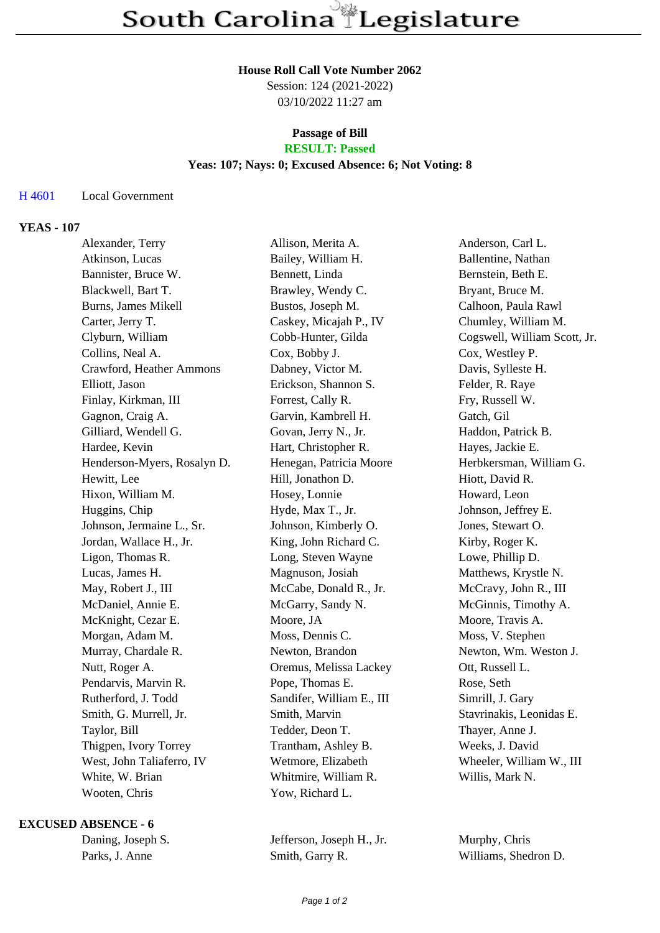#### **House Roll Call Vote Number 2062**

Session: 124 (2021-2022) 03/10/2022 11:27 am

# **Passage of Bill**

## **RESULT: Passed**

### **Yeas: 107; Nays: 0; Excused Absence: 6; Not Voting: 8**

#### H 4601 Local Government

#### **YEAS - 107**

| Alexander, Terry            | Allison, Merita A.        | Anderson, Carl L.            |
|-----------------------------|---------------------------|------------------------------|
| Atkinson, Lucas             | Bailey, William H.        | Ballentine, Nathan           |
| Bannister, Bruce W.         | Bennett, Linda            | Bernstein, Beth E.           |
| Blackwell, Bart T.          | Brawley, Wendy C.         | Bryant, Bruce M.             |
| Burns, James Mikell         | Bustos, Joseph M.         | Calhoon, Paula Rawl          |
| Carter, Jerry T.            | Caskey, Micajah P., IV    | Chumley, William M.          |
| Clyburn, William            | Cobb-Hunter, Gilda        | Cogswell, William Scott, Jr. |
| Collins, Neal A.            | Cox, Bobby J.             | Cox, Westley P.              |
| Crawford, Heather Ammons    | Dabney, Victor M.         | Davis, Sylleste H.           |
| Elliott, Jason              | Erickson, Shannon S.      | Felder, R. Raye              |
| Finlay, Kirkman, III        | Forrest, Cally R.         | Fry, Russell W.              |
| Gagnon, Craig A.            | Garvin, Kambrell H.       | Gatch, Gil                   |
| Gilliard, Wendell G.        | Govan, Jerry N., Jr.      | Haddon, Patrick B.           |
| Hardee, Kevin               | Hart, Christopher R.      | Hayes, Jackie E.             |
| Henderson-Myers, Rosalyn D. | Henegan, Patricia Moore   | Herbkersman, William G.      |
| Hewitt, Lee                 | Hill, Jonathon D.         | Hiott, David R.              |
| Hixon, William M.           | Hosey, Lonnie             | Howard, Leon                 |
| Huggins, Chip               | Hyde, Max T., Jr.         | Johnson, Jeffrey E.          |
| Johnson, Jermaine L., Sr.   | Johnson, Kimberly O.      | Jones, Stewart O.            |
| Jordan, Wallace H., Jr.     | King, John Richard C.     | Kirby, Roger K.              |
| Ligon, Thomas R.            | Long, Steven Wayne        | Lowe, Phillip D.             |
| Lucas, James H.             | Magnuson, Josiah          | Matthews, Krystle N.         |
| May, Robert J., III         | McCabe, Donald R., Jr.    | McCravy, John R., III        |
| McDaniel, Annie E.          | McGarry, Sandy N.         | McGinnis, Timothy A.         |
| McKnight, Cezar E.          | Moore, JA                 | Moore, Travis A.             |
| Morgan, Adam M.             | Moss, Dennis C.           | Moss, V. Stephen             |
| Murray, Chardale R.         | Newton, Brandon           | Newton, Wm. Weston J.        |
| Nutt, Roger A.              | Oremus, Melissa Lackey    | Ott, Russell L.              |
| Pendarvis, Marvin R.        | Pope, Thomas E.           | Rose, Seth                   |
| Rutherford, J. Todd         | Sandifer, William E., III | Simrill, J. Gary             |
| Smith, G. Murrell, Jr.      | Smith, Marvin             | Stavrinakis, Leonidas E.     |
| Taylor, Bill                | Tedder, Deon T.           | Thayer, Anne J.              |
| Thigpen, Ivory Torrey       | Trantham, Ashley B.       | Weeks, J. David              |
| West, John Taliaferro, IV   | Wetmore, Elizabeth        | Wheeler, William W., III     |
| White, W. Brian             | Whitmire, William R.      | Willis, Mark N.              |
| Wooten, Chris               | Yow, Richard L.           |                              |
|                             |                           |                              |

#### **EXCUSED ABSENCE - 6**

| Daning, Joseph S |
|------------------|
| Parks, J. Anne   |

S. Jefferson, Joseph H., Jr. Murphy, Chris Smith, Garry R. Williams, Shedron D.